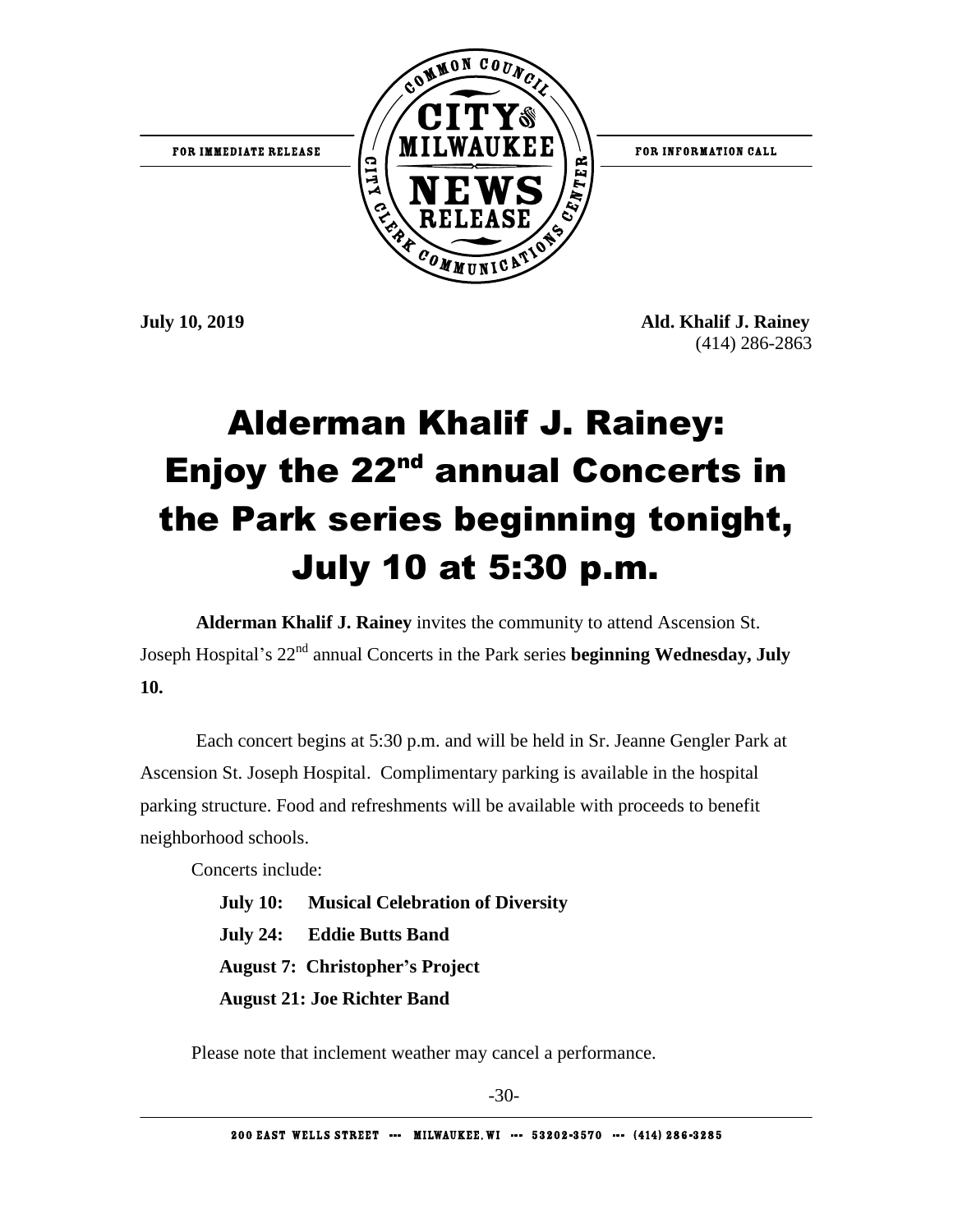

**July 10, 2019 Ald. Khalif J. Rainey** (414) 286-2863

## Alderman Khalif J. Rainey: Enjoy the 22<sup>nd</sup> annual Concerts in the Park series beginning tonight, July 10 at 5:30 p.m.

**Alderman Khalif J. Rainey** invites the community to attend Ascension St. Joseph Hospital's 22nd annual Concerts in the Park series **beginning Wednesday, July 10.**

Each concert begins at 5:30 p.m. and will be held in Sr. Jeanne Gengler Park at Ascension St. Joseph Hospital. Complimentary parking is available in the hospital parking structure. Food and refreshments will be available with proceeds to benefit neighborhood schools.

Concerts include:

 **July 10: Musical Celebration of Diversity July 24: Eddie Butts Band August 7: Christopher's Project August 21: Joe Richter Band**

Please note that inclement weather may cancel a performance.

-30-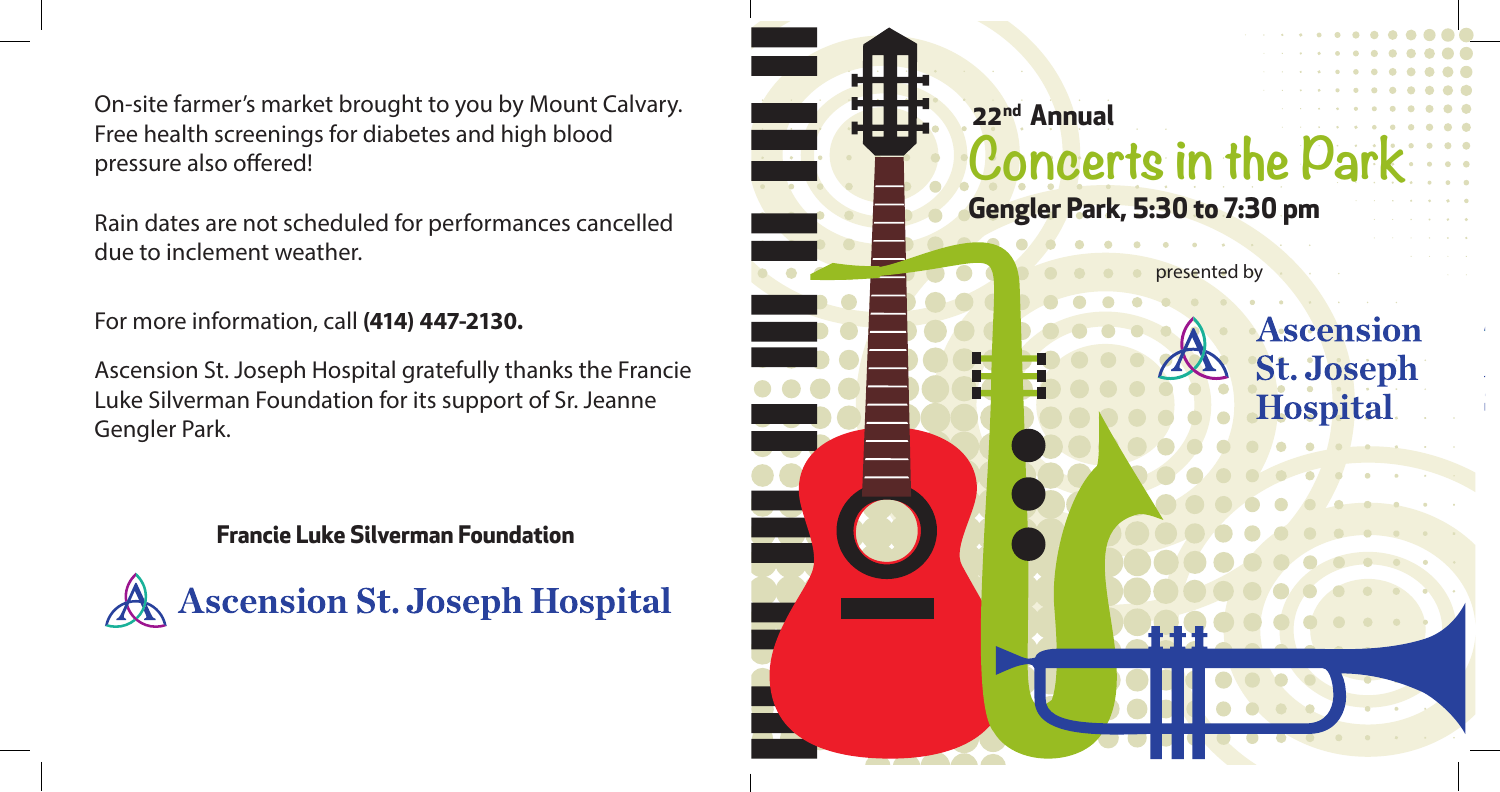On-site farmer's market brought to you by Mount Calvary. Free health screenings for diabetes and high blood pressure also offered!

Rain dates are not scheduled for performances cancelled due to inclement weather.

For more information, call **(414) 447-2130.**

Ascension St. Joseph Hospital gratefully thanks the Francie Luke Silverman Foundation for its support of Sr. Jeanne Gengler Park.

**Francie Luke Silverman Foundation**